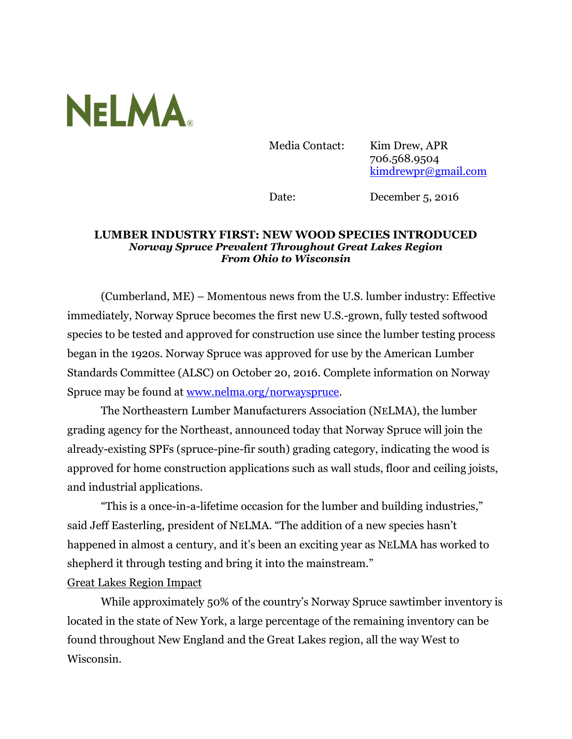

Media Contact: Kim Drew, APR 706.568.9504 [kimdrewpr@gmail.com](mailto:kimdrewpr@gmail.com)

Date: December 5, 2016

## **LUMBER INDUSTRY FIRST: NEW WOOD SPECIES INTRODUCED** *Norway Spruce Prevalent Throughout Great Lakes Region From Ohio to Wisconsin*

(Cumberland, ME) – Momentous news from the U.S. lumber industry: Effective immediately, Norway Spruce becomes the first new U.S.-grown, fully tested softwood species to be tested and approved for construction use since the lumber testing process began in the 1920s. Norway Spruce was approved for use by the American Lumber Standards Committee (ALSC) on October 20, 2016. Complete information on Norway Spruce may be found at [www.nelma.org/norwayspruce.](http://www.nelma.org/norwayspruce)

The Northeastern Lumber Manufacturers Association (NELMA), the lumber grading agency for the Northeast, announced today that Norway Spruce will join the already-existing SPFs (spruce-pine-fir south) grading category, indicating the wood is approved for home construction applications such as wall studs, floor and ceiling joists, and industrial applications.

"This is a once-in-a-lifetime occasion for the lumber and building industries," said Jeff Easterling, president of NELMA. "The addition of a new species hasn't happened in almost a century, and it's been an exciting year as NELMA has worked to shepherd it through testing and bring it into the mainstream."

## Great Lakes Region Impact

While approximately 50% of the country's Norway Spruce sawtimber inventory is located in the state of New York, a large percentage of the remaining inventory can be found throughout New England and the Great Lakes region, all the way West to Wisconsin.